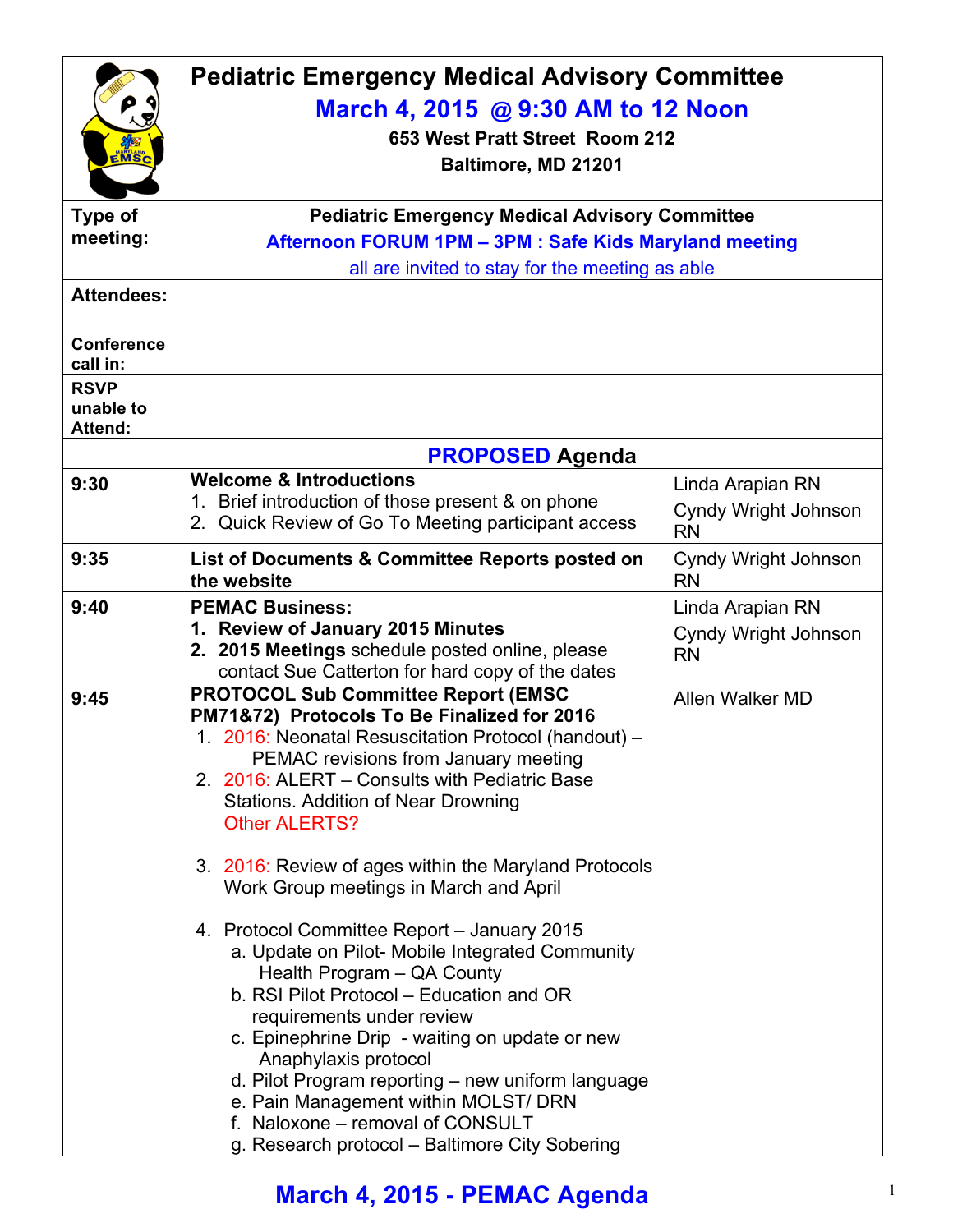| EMSC<br><b>Type of</b>                     | <b>Pediatric Emergency Medical Advisory Committee</b><br>March 4, 2015 @ 9:30 AM to 12 Noon<br>653 West Pratt Street Room 212<br>Baltimore, MD 21201<br><b>Pediatric Emergency Medical Advisory Committee</b>                                                                                                                                                                                                                                                                                                                                                                                                                                                                                                                                                                                                                                                                             |                                                              |  |
|--------------------------------------------|-------------------------------------------------------------------------------------------------------------------------------------------------------------------------------------------------------------------------------------------------------------------------------------------------------------------------------------------------------------------------------------------------------------------------------------------------------------------------------------------------------------------------------------------------------------------------------------------------------------------------------------------------------------------------------------------------------------------------------------------------------------------------------------------------------------------------------------------------------------------------------------------|--------------------------------------------------------------|--|
| meeting:                                   | Afternoon FORUM 1PM - 3PM : Safe Kids Maryland meeting                                                                                                                                                                                                                                                                                                                                                                                                                                                                                                                                                                                                                                                                                                                                                                                                                                    |                                                              |  |
|                                            | all are invited to stay for the meeting as able                                                                                                                                                                                                                                                                                                                                                                                                                                                                                                                                                                                                                                                                                                                                                                                                                                           |                                                              |  |
| <b>Attendees:</b>                          |                                                                                                                                                                                                                                                                                                                                                                                                                                                                                                                                                                                                                                                                                                                                                                                                                                                                                           |                                                              |  |
| <b>Conference</b><br>call in:              |                                                                                                                                                                                                                                                                                                                                                                                                                                                                                                                                                                                                                                                                                                                                                                                                                                                                                           |                                                              |  |
| <b>RSVP</b><br>unable to<br><b>Attend:</b> |                                                                                                                                                                                                                                                                                                                                                                                                                                                                                                                                                                                                                                                                                                                                                                                                                                                                                           |                                                              |  |
|                                            | <b>PROPOSED Agenda</b>                                                                                                                                                                                                                                                                                                                                                                                                                                                                                                                                                                                                                                                                                                                                                                                                                                                                    |                                                              |  |
| 9:30                                       | <b>Welcome &amp; Introductions</b><br>1. Brief introduction of those present & on phone<br>2. Quick Review of Go To Meeting participant access                                                                                                                                                                                                                                                                                                                                                                                                                                                                                                                                                                                                                                                                                                                                            | Linda Arapian RN<br><b>Cyndy Wright Johnson</b><br><b>RN</b> |  |
| 9:35                                       | List of Documents & Committee Reports posted on<br>the website                                                                                                                                                                                                                                                                                                                                                                                                                                                                                                                                                                                                                                                                                                                                                                                                                            | Cyndy Wright Johnson<br><b>RN</b>                            |  |
| 9:40                                       | <b>PEMAC Business:</b><br>1. Review of January 2015 Minutes<br>2. 2015 Meetings schedule posted online, please<br>contact Sue Catterton for hard copy of the dates                                                                                                                                                                                                                                                                                                                                                                                                                                                                                                                                                                                                                                                                                                                        | Linda Arapian RN<br><b>Cyndy Wright Johnson</b><br><b>RN</b> |  |
| 9:45                                       | <b>PROTOCOL Sub Committee Report (EMSC</b><br>PM71&72) Protocols To Be Finalized for 2016<br>1. 2016: Neonatal Resuscitation Protocol (handout) -<br>PEMAC revisions from January meeting<br>2. 2016: ALERT - Consults with Pediatric Base<br><b>Stations. Addition of Near Drowning</b><br><b>Other ALERTS?</b><br>3. 2016: Review of ages within the Maryland Protocols<br>Work Group meetings in March and April<br>4. Protocol Committee Report - January 2015<br>a. Update on Pilot- Mobile Integrated Community<br>Health Program - QA County<br>b. RSI Pilot Protocol - Education and OR<br>requirements under review<br>c. Epinephrine Drip - waiting on update or new<br>Anaphylaxis protocol<br>d. Pilot Program reporting - new uniform language<br>e. Pain Management within MOLST/ DRN<br>f. Naloxone – removal of CONSULT<br>g. Research protocol - Baltimore City Sobering | Allen Walker MD                                              |  |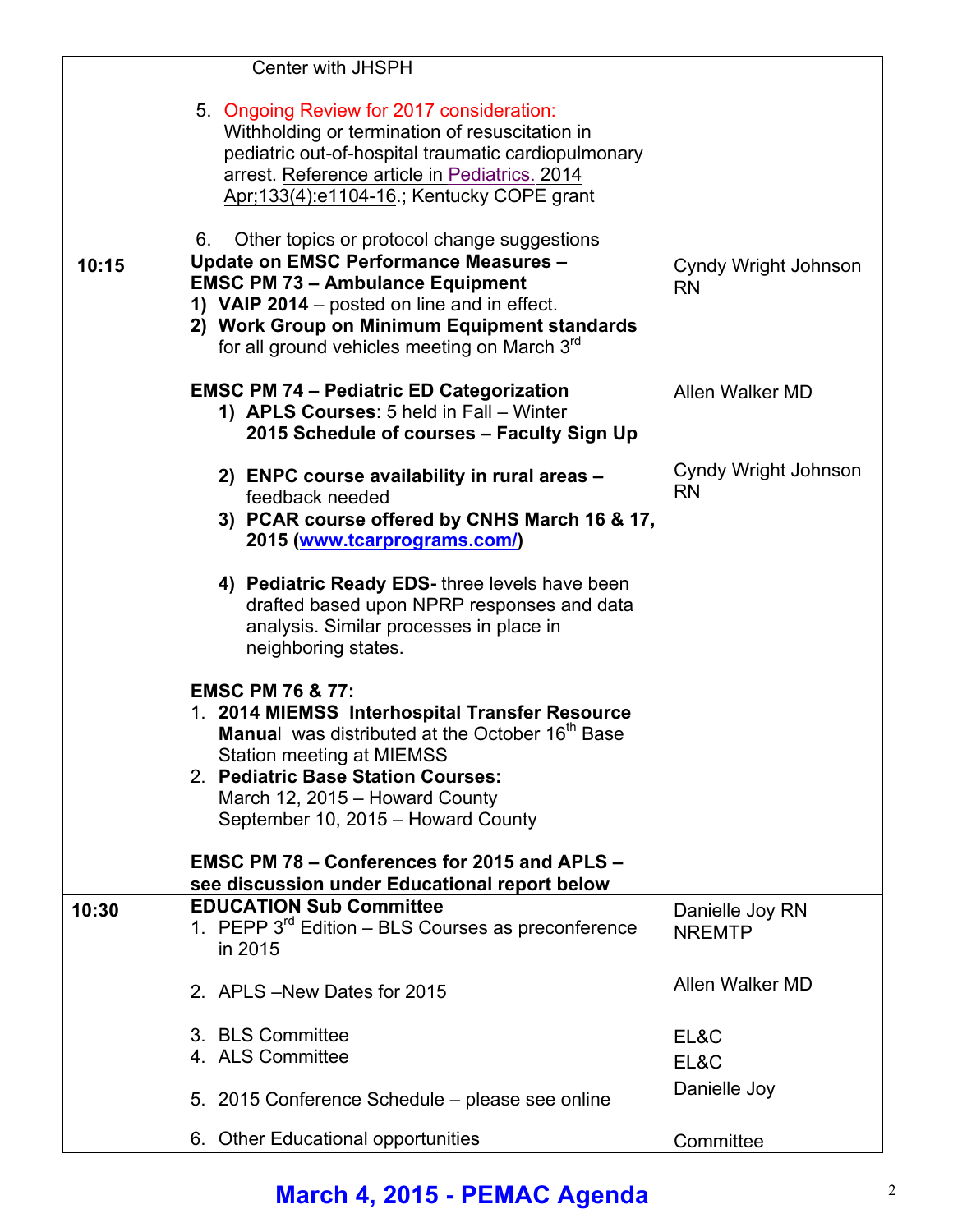|       | Center with JHSPH                                                                             |                                   |
|-------|-----------------------------------------------------------------------------------------------|-----------------------------------|
|       | 5. Ongoing Review for 2017 consideration:                                                     |                                   |
|       | Withholding or termination of resuscitation in                                                |                                   |
|       | pediatric out-of-hospital traumatic cardiopulmonary                                           |                                   |
|       | arrest. Reference article in Pediatrics. 2014<br>Apr; 133(4): e1104-16.; Kentucky COPE grant  |                                   |
|       |                                                                                               |                                   |
|       | Other topics or protocol change suggestions<br>6.                                             |                                   |
| 10:15 | <b>Update on EMSC Performance Measures -</b><br><b>EMSC PM 73 - Ambulance Equipment</b>       | Cyndy Wright Johnson              |
|       | 1) VAIP 2014 – posted on line and in effect.                                                  | <b>RN</b>                         |
|       | 2) Work Group on Minimum Equipment standards                                                  |                                   |
|       | for all ground vehicles meeting on March 3 <sup>rd</sup>                                      |                                   |
|       | <b>EMSC PM 74 - Pediatric ED Categorization</b>                                               | Allen Walker MD                   |
|       | 1) APLS Courses: 5 held in Fall - Winter<br>2015 Schedule of courses - Faculty Sign Up        |                                   |
|       | 2) ENPC course availability in rural areas -                                                  | Cyndy Wright Johnson<br><b>RN</b> |
|       | feedback needed                                                                               |                                   |
|       | 3) PCAR course offered by CNHS March 16 & 17,<br>2015 (www.tcarprograms.com/)                 |                                   |
|       | 4) Pediatric Ready EDS- three levels have been                                                |                                   |
|       | drafted based upon NPRP responses and data<br>analysis. Similar processes in place in         |                                   |
|       | neighboring states.                                                                           |                                   |
|       |                                                                                               |                                   |
|       | <b>EMSC PM 76 &amp; 77:</b>                                                                   |                                   |
|       | 1. 2014 MIEMSS Interhospital Transfer Resource                                                |                                   |
|       | Manual was distributed at the October 16 <sup>th</sup> Base                                   |                                   |
|       | Station meeting at MIEMSS<br>2. Pediatric Base Station Courses:                               |                                   |
|       | March 12, 2015 - Howard County                                                                |                                   |
|       | September 10, 2015 - Howard County                                                            |                                   |
|       |                                                                                               |                                   |
|       | EMSC PM 78 - Conferences for 2015 and APLS -<br>see discussion under Educational report below |                                   |
| 10:30 | <b>EDUCATION Sub Committee</b>                                                                | Danielle Joy RN                   |
|       | 1. PEPP $3^{rd}$ Edition – BLS Courses as preconference                                       | <b>NREMTP</b>                     |
|       | in 2015                                                                                       |                                   |
|       | 2. APLS - New Dates for 2015                                                                  | Allen Walker MD                   |
|       | 3. BLS Committee                                                                              | EL&C                              |
|       | 4. ALS Committee                                                                              | EL&C                              |
|       |                                                                                               |                                   |
|       | 5. 2015 Conference Schedule – please see online                                               | Danielle Joy                      |
|       | 6. Other Educational opportunities                                                            | Committee                         |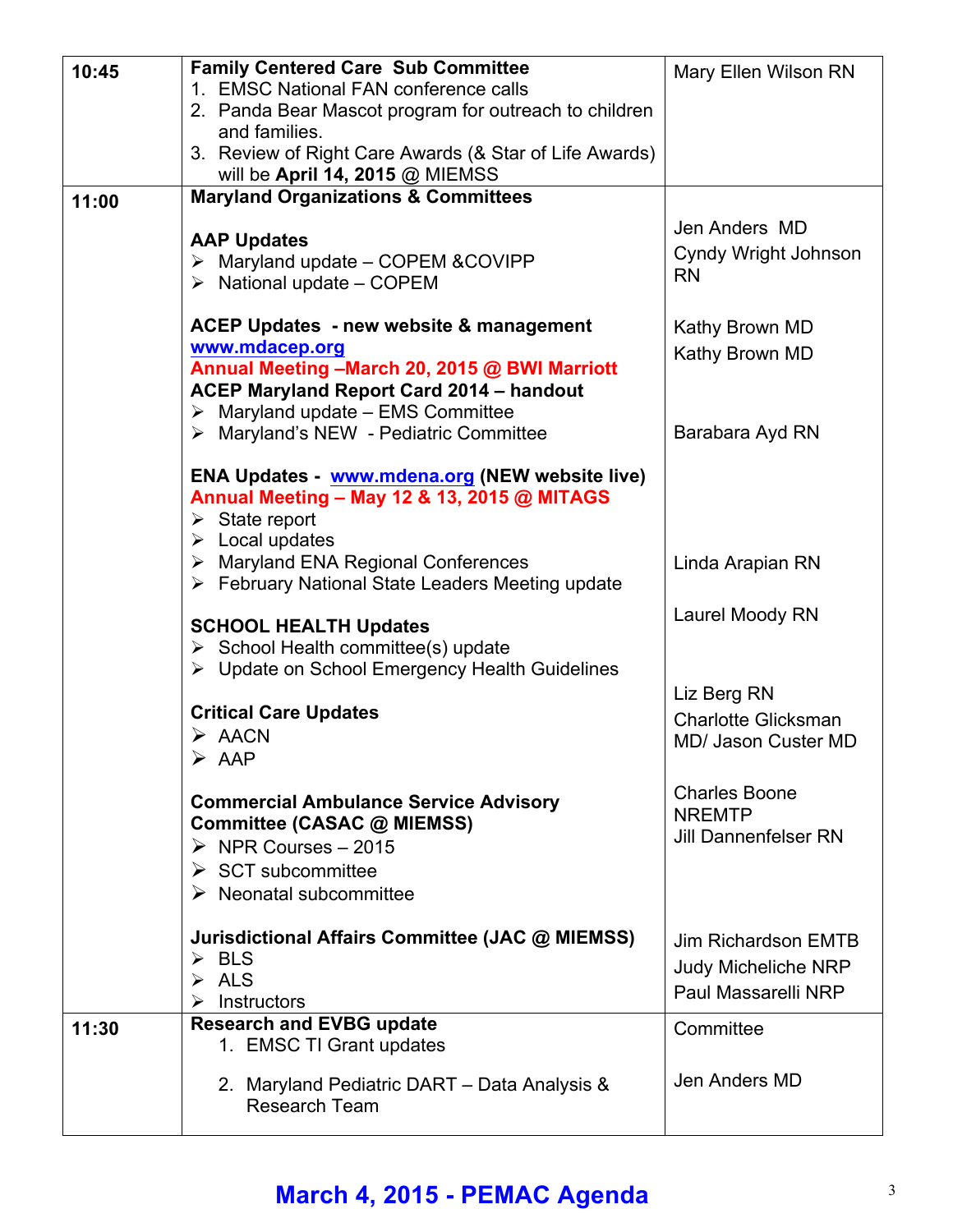| 10:45 | <b>Family Centered Care Sub Committee</b><br>1. EMSC National FAN conference calls<br>2. Panda Bear Mascot program for outreach to children<br>and families.                                                                  | Mary Ellen Wilson RN                                                            |
|-------|-------------------------------------------------------------------------------------------------------------------------------------------------------------------------------------------------------------------------------|---------------------------------------------------------------------------------|
|       | 3. Review of Right Care Awards (& Star of Life Awards)<br>will be April 14, 2015 @ MIEMSS                                                                                                                                     |                                                                                 |
| 11:00 | <b>Maryland Organizations &amp; Committees</b>                                                                                                                                                                                |                                                                                 |
|       | <b>AAP Updates</b><br>$\triangleright$ Maryland update - COPEM & COVIPP<br>$\triangleright$ National update – COPEM                                                                                                           | Jen Anders MD<br>Cyndy Wright Johnson<br><b>RN</b>                              |
|       | <b>ACEP Updates - new website &amp; management</b><br>www.mdacep.org<br>Annual Meeting - March 20, 2015 @ BWI Marriott<br><b>ACEP Maryland Report Card 2014 - handout</b><br>$\triangleright$ Maryland update - EMS Committee | Kathy Brown MD<br>Kathy Brown MD                                                |
|       | > Maryland's NEW - Pediatric Committee                                                                                                                                                                                        | Barabara Ayd RN                                                                 |
|       | ENA Updates - www.mdena.org (NEW website live)<br>Annual Meeting - May 12 & 13, 2015 @ MITAGS<br>$\triangleright$ State report<br>$\triangleright$ Local updates                                                              |                                                                                 |
|       | $\triangleright$ Maryland ENA Regional Conferences<br>> February National State Leaders Meeting update                                                                                                                        | Linda Arapian RN                                                                |
|       | <b>SCHOOL HEALTH Updates</b><br>$\triangleright$ School Health committee(s) update<br>▶ Update on School Emergency Health Guidelines                                                                                          | Laurel Moody RN                                                                 |
|       | <b>Critical Care Updates</b><br>$\triangleright$ AACN<br>$\triangleright$ AAP                                                                                                                                                 | Liz Berg RN<br><b>Charlotte Glicksman</b><br><b>MD/ Jason Custer MD</b>         |
|       | <b>Commercial Ambulance Service Advisory</b><br>Committee (CASAC @ MIEMSS)<br>$\triangleright$ NPR Courses - 2015<br>$\triangleright$ SCT subcommittee<br>$\triangleright$ Neonatal subcommittee                              | <b>Charles Boone</b><br><b>NREMTP</b><br><b>Jill Dannenfelser RN</b>            |
|       | Jurisdictional Affairs Committee (JAC @ MIEMSS)<br>$\triangleright$ BLS<br><b>ALS</b><br>$\blacktriangleright$<br>Instructors<br>➤                                                                                            | <b>Jim Richardson EMTB</b><br><b>Judy Micheliche NRP</b><br>Paul Massarelli NRP |
| 11:30 | <b>Research and EVBG update</b>                                                                                                                                                                                               | Committee                                                                       |
|       | 1. EMSC TI Grant updates<br>2. Maryland Pediatric DART - Data Analysis &<br><b>Research Team</b>                                                                                                                              | Jen Anders MD                                                                   |